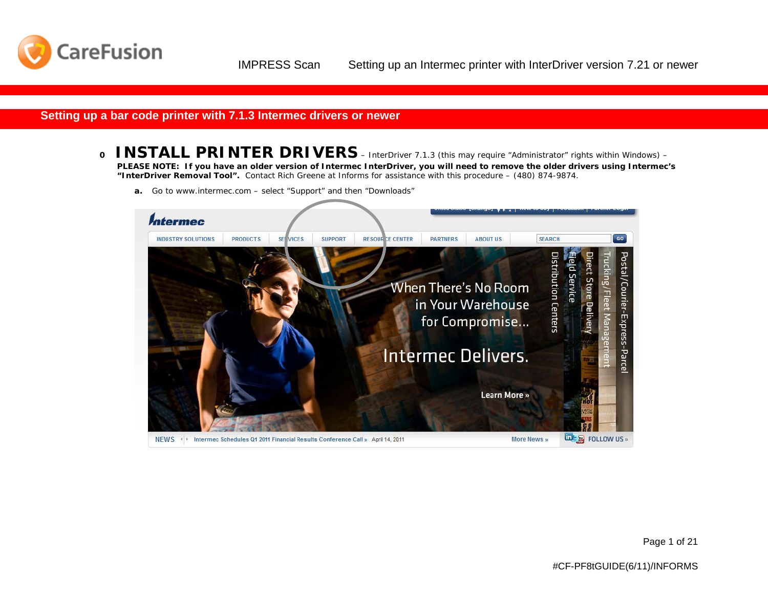

#### **Setting up a bar code printer with 7.1.3 Intermec drivers or newer**

- **0 INSTALL PRINTER DRIVERS** InterDriver 7.1.3 (this may require "Administrator" rights within Windows) *PLEASE NOTE: If you have an older version of Intermec InterDriver, you will need to remove the older drivers using Intermec's "InterDriver Removal Tool". Contact Rich Greene at Informs for assistance with this procedure – (480) 874-9874.*
	- **a.** Go to [www.intermec.com](http://www.intermec.com/) select "Support" and then "Downloads"

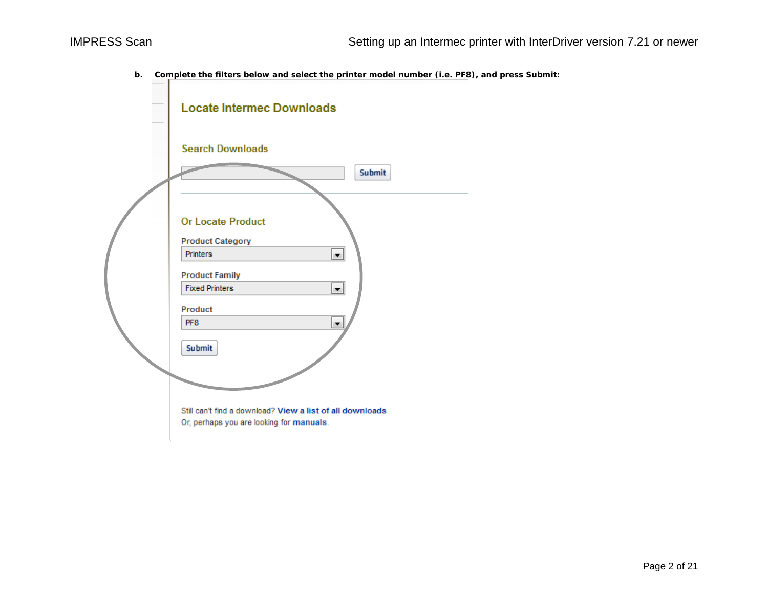**b. Complete the filters below and select the printer model number (i.e. PF8), and press Submit:**

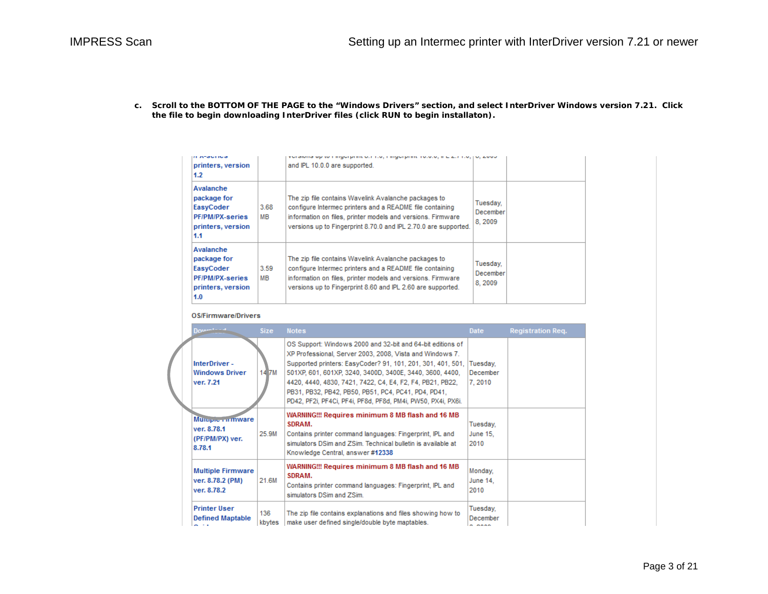**c. Scroll to the BOTTOM OF THE PAGE to the "Windows Drivers" section, and select InterDriver Windows version 7.21. Click the file to begin downloading InterDriver files (click RUN to begin installaton).** 

|  | <b><i>IL ASSURDS</i></b><br>printers, version<br>1.2                                        |            | fundional up to immigraphin our not minigraphin notion, in E.E. (not not about<br>and IPL 10.0.0 are supported.                                                                                                                                    |                                        |  |
|--|---------------------------------------------------------------------------------------------|------------|----------------------------------------------------------------------------------------------------------------------------------------------------------------------------------------------------------------------------------------------------|----------------------------------------|--|
|  | Avalanche<br>package for<br>EasyCoder<br><b>PF/PM/PX-series</b><br>printers, version<br>1.1 | 3.68<br>MВ | The zip file contains Wavelink Avalanche packages to<br>configure Intermec printers and a README file containing<br>information on files, printer models and versions. Firmware<br>versions up to Fingerprint 8.70.0 and IPL 2.70.0 are supported. | Tuesday.<br><b>December</b><br>8, 2009 |  |
|  | Avalanche<br>package for<br>EasyCoder<br>PF/PM/PX-series<br>printers, version<br>1.0        | 3.59<br>мв | The zip file contains Wavelink Avalanche packages to<br>configure Intermec printers and a README file containing<br>information on files, printer models and versions. Firmware<br>versions up to Fingerprint 8.60 and IPL 2.60 are supported.     | Tuesday.<br>December<br>8, 2009        |  |

#### **OS/Firmware/Drivers**

|  | $Down^{1-1-1}$                                              | <b>Size</b>   | <b>Notes</b>                                                                                                                                                                                                                                                                                                                                                                                                                          | <b>Date</b>                        | <b>Registration Req.</b> |
|--|-------------------------------------------------------------|---------------|---------------------------------------------------------------------------------------------------------------------------------------------------------------------------------------------------------------------------------------------------------------------------------------------------------------------------------------------------------------------------------------------------------------------------------------|------------------------------------|--------------------------|
|  | InterDriver-<br><b>Windows Driver</b><br>ver. 7.21          | 14 7M         | OS Support: Windows 2000 and 32-bit and 64-bit editions of<br>XP Professional, Server 2003, 2008, Vista and Windows 7.<br>Supported printers: EasyCoder? 91, 101, 201, 301, 401, 501,<br>501XP, 601, 601XP, 3240, 3400D, 3400E, 3440, 3600, 4400,<br>4420, 4440, 4830, 7421, 7422, C4, E4, F2, F4, PB21, PB22,<br>PB31, PB32, PB42, PB50, PB51, PC4, PC41, PD4, PD41,<br>PD42, PF2i, PF4Ci, PF4i, PF8d, PF8d, PM4i, PW50, PX4i, PX6i. | Tuesday,<br>December<br>7, 2010    |                          |
|  | Munpre rimware<br>ver. 8.78.1<br>(PF/PM/PX) ver.<br>8.78.1  | 25.9M         | WARNING!!! Requires minimum 8 MB flash and 16 MB<br>SDRAM.<br>Contains printer command languages: Fingerprint, IPL and<br>simulators DSim and ZSim. Technical bulletin is available at<br>Knowledge Central, answer #12338                                                                                                                                                                                                            | Tuesday,<br>June 15.<br>2010       |                          |
|  | <b>Multiple Firmware</b><br>ver. 8.78.2 (PM)<br>ver. 8.78.2 | 21.6M         | WARNING!!! Requires minimum 8 MB flash and 16 MB<br>SDRAM.<br>Contains printer command languages: Fingerprint, IPL and<br>simulators DSim and ZSim.                                                                                                                                                                                                                                                                                   | Monday,<br><b>June 14.</b><br>2010 |                          |
|  | <b>Printer User</b><br><b>Defined Maptable</b>              | 136<br>kbytes | The zip file contains explanations and files showing how to<br>make user defined single/double byte maptables.                                                                                                                                                                                                                                                                                                                        | Tuesday.<br>December<br>- ----     |                          |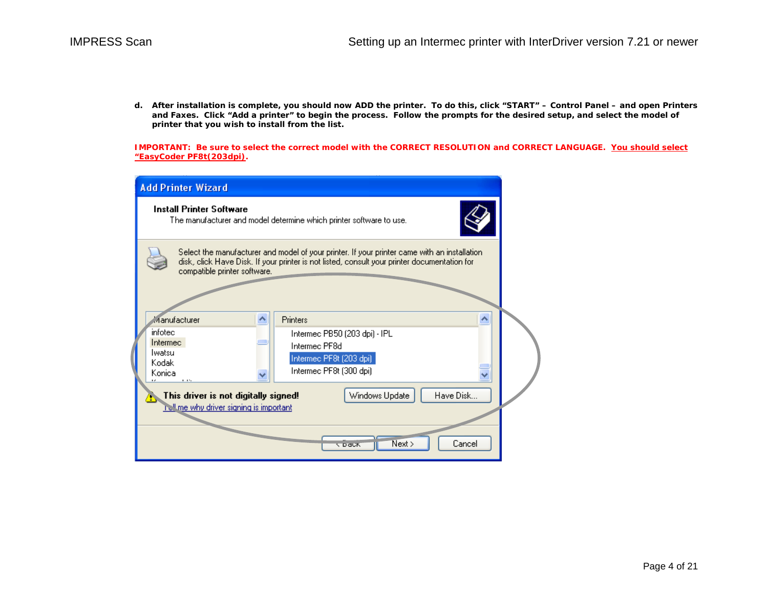**d. After installation is complete, you should now ADD the printer. To do this, click "START" – Control Panel – and open Printers and Faxes. Click "Add a printer" to begin the process. Follow the prompts for the desired setup, and select the model of printer that you wish to install from the list.** 

**IMPORTANT: Be sure to select the correct model with the CORRECT RESOLUTION and CORRECT LANGUAGE. You should select "EasyCoder PF8t(203dpi).** 

| <b>Add Printer Wizard</b>                                                                                                                                                                                                    |  |  |  |  |
|------------------------------------------------------------------------------------------------------------------------------------------------------------------------------------------------------------------------------|--|--|--|--|
| <b>Install Printer Software</b><br>The manufacturer and model determine which printer software to use.                                                                                                                       |  |  |  |  |
| Select the manufacturer and model of your printer. If your printer came with an installation<br>disk, click Have Disk. If your printer is not listed, consult your printer documentation for<br>compatible printer software. |  |  |  |  |
| Manufacturer<br>Printers<br>^<br>ㅅ                                                                                                                                                                                           |  |  |  |  |
| infotec<br>Intermed PB50 (203 dpi) - IPL<br>Intermec<br>Intermec PF8d<br>lwatsu<br>Intermed PF8t (203 dpi)<br>Kodak<br>Intermed PF8t (300 dpi)<br>Konica<br>$\cdots$                                                         |  |  |  |  |
| Have Disk<br>This driver is not digitally signed!<br>Windows Update<br><b>I'dl me why driver signing is important</b>                                                                                                        |  |  |  |  |
| Next<br>Cancel<br><b>C DaCK</b>                                                                                                                                                                                              |  |  |  |  |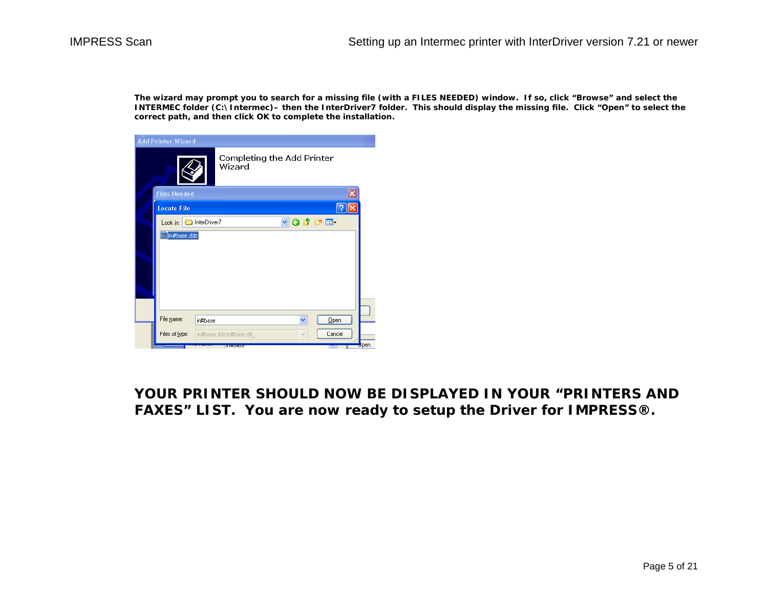**The wizard may prompt you to search for a missing file (with a FILES NEEDED) window. If so, click "Browse" and select the INTERMEC folder (C:\Intermec)– then the InterDriver7 folder. This should display the missing file. Click "Open" to select the correct path, and then click OK to complete the installation.** 

| Completing the Add Printer<br>Wizard<br><b>Files Needed</b><br><b>Locate File</b><br>$V$ <b>O</b> $\beta$ $P$ $\Box$<br>InterDriver7<br>Look in:<br>in#base.ddz |
|-----------------------------------------------------------------------------------------------------------------------------------------------------------------|
|                                                                                                                                                                 |
|                                                                                                                                                                 |
|                                                                                                                                                                 |
|                                                                                                                                                                 |
|                                                                                                                                                                 |
| File name:<br>Qpen<br>in#base<br>×                                                                                                                              |
| Cancel<br>Files of type:<br>in#base.ddz;in#base.dd<br>$\checkmark$<br><b>O</b> pen<br><b>UNITED NO</b>                                                          |

**YOUR PRINTER SHOULD NOW BE DISPLAYED IN YOUR "PRINTERS AND FAXES" LIST. You are now ready to setup the Driver for IMPRESS®.**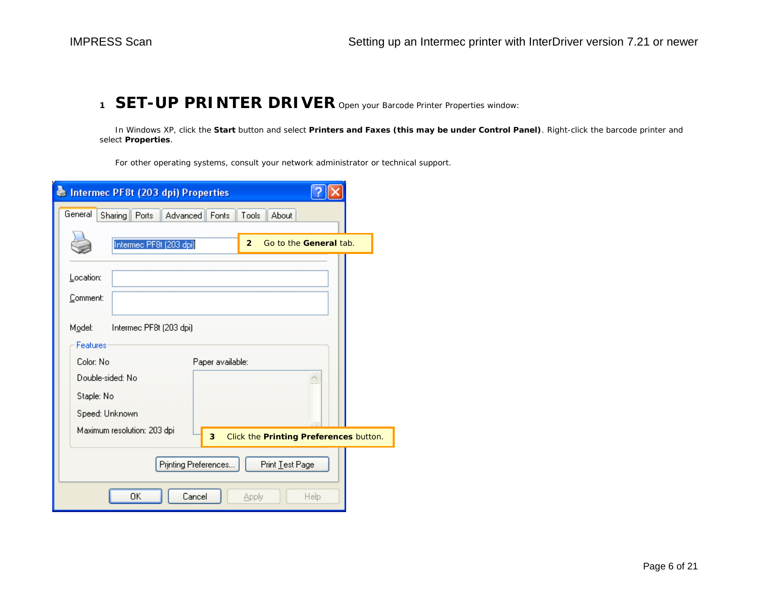### **<sup>1</sup> SET-UP PRINTER DRIVER** Open your Barcode Printer Properties window:

In Windows XP, click the **Start** button and select **Printers and Faxes (this may be under Control Panel)**. Right-click the barcode printer and select **Properties**.

For other operating systems, consult your network administrator or technical support.

| Intermec PF8t (203 dpi) Properties                                               |
|----------------------------------------------------------------------------------|
| General<br>Sharing<br>Ports<br><b>Advanced</b><br>About<br><b>Fonts</b><br>Tools |
| Intermed PF8t (203 dpi)<br>Go to the General tab.<br>$\overline{2}$              |
| Location:                                                                        |
| Comment:                                                                         |
| Model:<br>Intermec PF8t (203 dpi)                                                |
| Features<br>Color: No                                                            |
| Paper available:<br>Double-sided: No                                             |
| Staple: No                                                                       |
| Speed: Unknown                                                                   |
| Maximum resolution: 203 dpi<br>3<br>Click the Printing Preferences button.       |
| Printing Preferences<br>Print Test Page                                          |
| OΚ<br>Cancel<br>Help<br>Apply                                                    |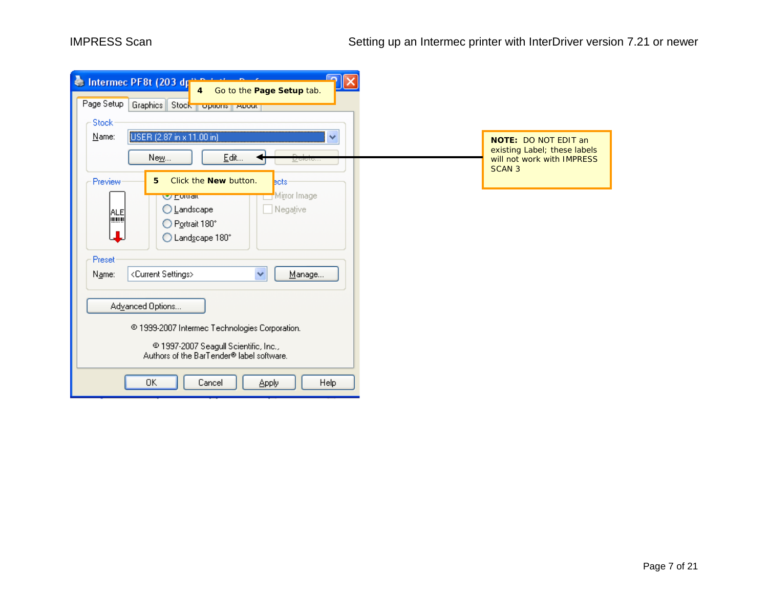| Intermec PF8t (203 dp<br>4 Go to the Page Setup tab.<br>Page Setup<br>Graphics Stock Topdons About<br>Stock                                            |                                                                                                            |  |  |
|--------------------------------------------------------------------------------------------------------------------------------------------------------|------------------------------------------------------------------------------------------------------------|--|--|
| USER (2.87 in x 11.00 in)<br>Name:<br>$\checkmark$<br>$Edt$<br>Ne <u>w</u><br>Neiere'''<br>Click the <b>New</b> button.<br>5<br>Preview<br><b>Bots</b> | <b>NOTE: DO NOT EDIT an</b><br>existing Label; these labels<br>will not work with IMPRESS<br><b>SCAN 3</b> |  |  |
| Mirror Image<br><b>W Fordaid</b><br>◯ <u>L</u> andscape<br>Negative<br><b>ALE</b><br>luww<br>◯ Portrait 180°<br>◯ Landscape 180°                       |                                                                                                            |  |  |
| Preset<br>$\checkmark$<br><current settings=""><br/>Manage<br/>Name:</current>                                                                         |                                                                                                            |  |  |
| Advanced Options                                                                                                                                       |                                                                                                            |  |  |
| © 1999-2007 Intermec Technologies Corporation.                                                                                                         |                                                                                                            |  |  |
| @ 1997-2007 Seagull Scientific, Inc.,<br>Authors of the BarTender® label software.                                                                     |                                                                                                            |  |  |
| ΟK<br>Cancel<br>Help<br><b>Apply</b>                                                                                                                   |                                                                                                            |  |  |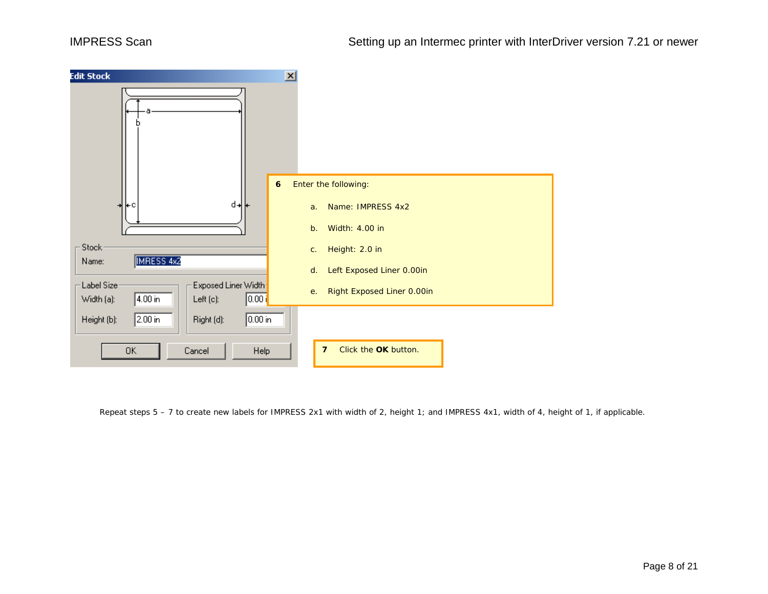

Repeat steps 5 – 7 to create new labels for IMPRESS 2x1 with width of 2, height 1; and IMPRESS 4x1, width of 4, height of 1, if applicable.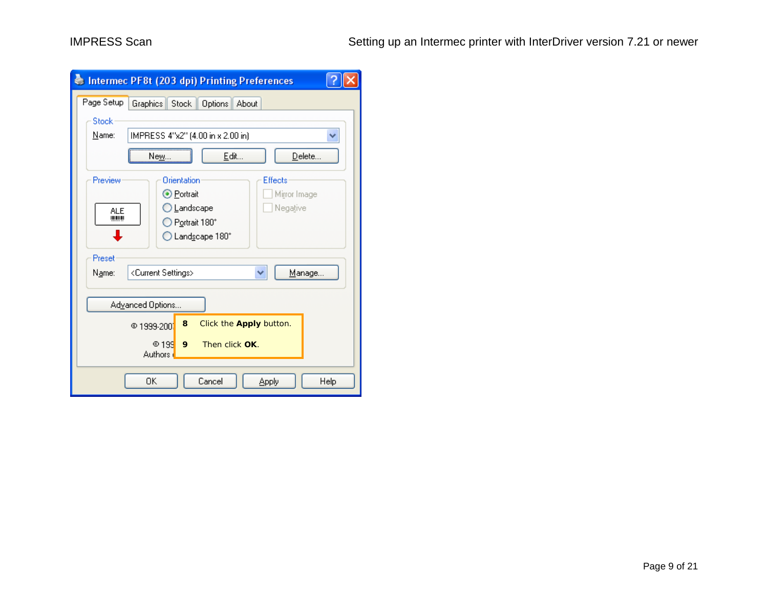|                                                            | Intermed PF8t (203 dpi) Printing Preferences |  |  |  |
|------------------------------------------------------------|----------------------------------------------|--|--|--|
| Page Setup<br>Graphics                                     | Stock  <br>Options<br>About                  |  |  |  |
| Stock                                                      |                                              |  |  |  |
| Name:<br>IMPRESS 4"x2" (4.00 in x 2.00 in)<br>v            |                                              |  |  |  |
| Edit<br>Delete<br>New                                      |                                              |  |  |  |
| Orientation<br>Preview<br>Effects                          |                                              |  |  |  |
| ⊙ Portrait<br>Mirror Image                                 |                                              |  |  |  |
| ◯ Landscape<br>Negative<br><b>ALE</b><br>$\blacksquare$    |                                              |  |  |  |
| ◯ Portrait 180°                                            |                                              |  |  |  |
| $\bigcirc$ Landscape 180°                                  |                                              |  |  |  |
| Preset                                                     |                                              |  |  |  |
| <current settings=""><br/>Manage<br/>Name:<br/>▿</current> |                                              |  |  |  |
|                                                            |                                              |  |  |  |
| Advanced Options                                           |                                              |  |  |  |
| Click the Apply button.<br>8<br>© 1999-2001                |                                              |  |  |  |
| @199<br>9<br>Then click OK.                                |                                              |  |  |  |
| Authors (                                                  |                                              |  |  |  |
| OΚ<br>Cancel<br>Help<br><b>Apply</b>                       |                                              |  |  |  |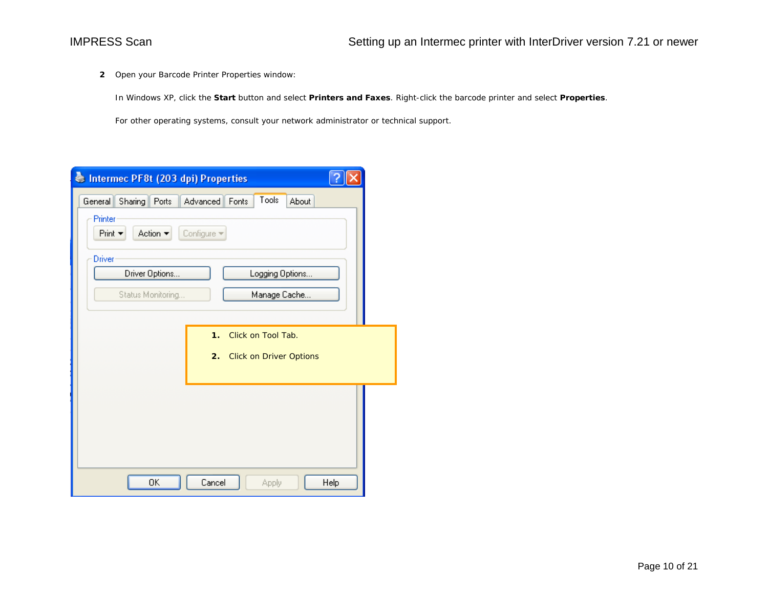**2** Open your Barcode Printer Properties window:

In Windows XP, click the **Start** button and select **Printers and Faxes**. Right-click the barcode printer and select **Properties**.

For other operating systems, consult your network administrator or technical support.

| Intermec PF8t (203 dpi) Properties                                |
|-------------------------------------------------------------------|
| Tools<br>Sharing   Ports<br>About<br>General<br>Advanced<br>Fonts |
| Printer<br>Action ▼<br>Print $\blacktriangledown$<br>Configure -  |
| Driver                                                            |
| Driver Options<br>Logging Options                                 |
| Status Monitoring<br>Manage Cache                                 |
|                                                                   |
| Click on Tool Tab.<br>$\mathbf 1$ .                               |
| 2.<br><b>Click on Driver Options</b>                              |
|                                                                   |
|                                                                   |
|                                                                   |
|                                                                   |
| ΟK<br>Cancel<br>Help<br>Apply                                     |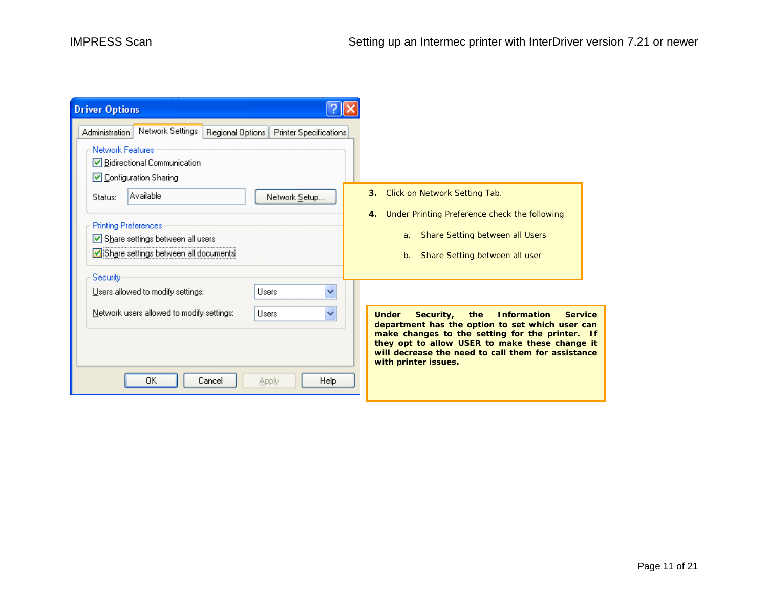| <b>Driver Options</b>                                                                                                                                                                                                                                                                                                                                                                                       |                                                                                                                                                                                                                                                                                                                |
|-------------------------------------------------------------------------------------------------------------------------------------------------------------------------------------------------------------------------------------------------------------------------------------------------------------------------------------------------------------------------------------------------------------|----------------------------------------------------------------------------------------------------------------------------------------------------------------------------------------------------------------------------------------------------------------------------------------------------------------|
| Network Settings<br>Administration<br>Regional Options   Printer Specifications<br><b>Network Features</b><br>└ Bidirectional Communication<br>◘ Configuration Sharing<br>Available<br>Network Setup<br>Status:<br><b>Printing Preferences</b><br>Share settings between all users<br>Share settings between all documents<br>Security<br>$\ddotmark$<br>Users allowed to modify settings:<br><b>Lisers</b> | Click on Network Setting Tab.<br>3.<br>Under Printing Preference check the following<br>4.<br>Share Setting between all Users<br>a.<br>Share Setting between all user<br>b.                                                                                                                                    |
| Network users allowed to modify settings:<br><b>Lisers</b><br>×<br>ΟK<br>Cancel<br><b>Help</b><br>Apply                                                                                                                                                                                                                                                                                                     | <b>Information</b><br><b>Service</b><br><b>Under</b><br>Security,<br>the<br>department has the option to set which user can<br>make changes to the setting for the printer. If<br>they opt to allow USER to make these change it<br>will decrease the need to call them for assistance<br>with printer issues. |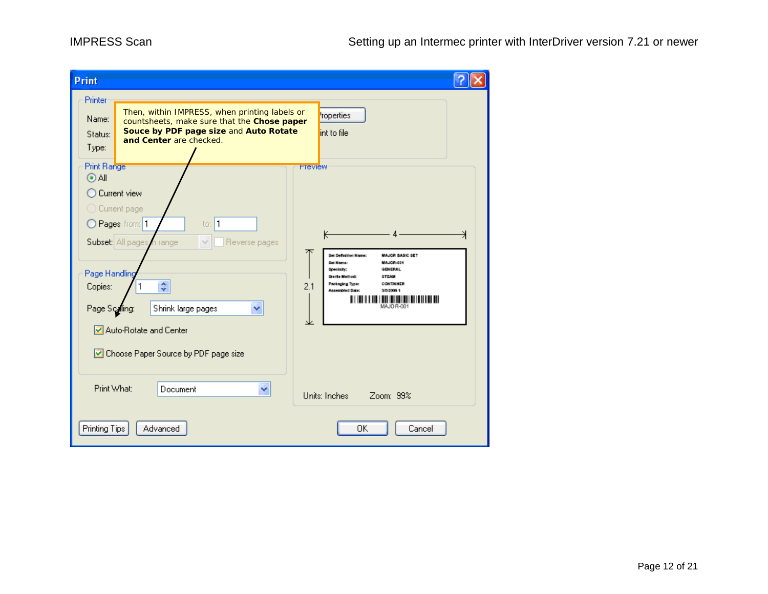| Print                                                              |                                                                                                                                                                   |                                                                                                                                                                                                                                                  |
|--------------------------------------------------------------------|-------------------------------------------------------------------------------------------------------------------------------------------------------------------|--------------------------------------------------------------------------------------------------------------------------------------------------------------------------------------------------------------------------------------------------|
| Printer<br>Name:<br>Status:<br>Type:<br>Print Range<br>$\odot$ All | Then, within IMPRESS, when printing labels or<br>countsheets, make sure that the Chose paper<br>Souce by PDF page size and Auto Rotate<br>and Center are checked. | roperties<br>int to file<br><b>Preview</b>                                                                                                                                                                                                       |
|                                                                    | Current view<br>Current page<br>1<br>Pages from: 1<br>to:<br>Subset: All pages<br>Reverse pages<br>n range<br>v                                                   | κ                                                                                                                                                                                                                                                |
| Page Handling<br>Copies:<br>Page Scaling:                          | ٥<br>Shrink large pages                                                                                                                                           | Set Definition Name:<br><b>MAJOR BASIC SET</b><br>MAJOR-001<br>Set Nome:<br><b>GENERAL</b><br>Specialty:<br>Startle Method:<br><b>STEAM</b><br>Packaging Type:<br>CONTAINER<br>2.1<br><b>Assembled Date:</b><br>3/5/2005 1<br>Ш<br>MAJOR-00<br>⊻ |
| Print What:                                                        | Auto-Rotate and Center<br>Choose Paper Source by PDF page size<br>Document                                                                                        |                                                                                                                                                                                                                                                  |
| Printing Tips                                                      | ۷<br>Advanced                                                                                                                                                     | Units: Inches<br>Zoom: 99%<br>OK<br>Cancel                                                                                                                                                                                                       |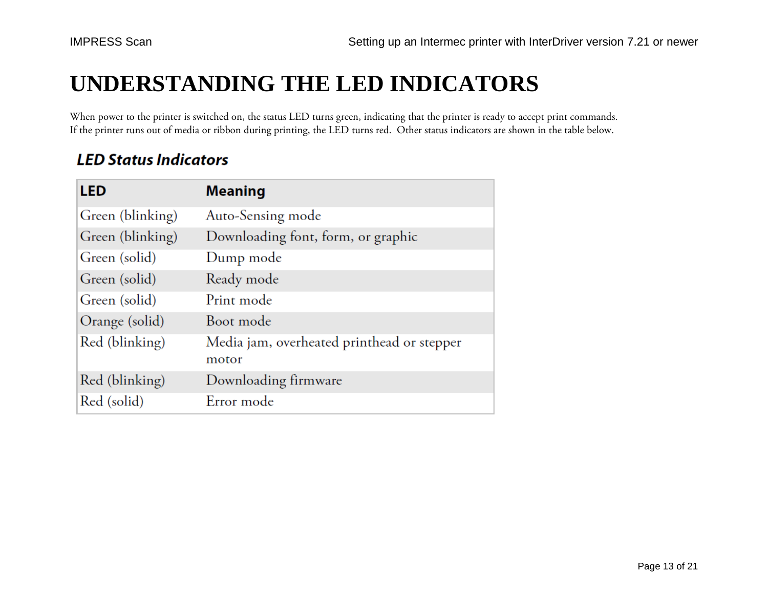# **UNDERSTANDING THE LED INDICATORS**

When power to the printer is switched on, the status LED turns green, indicating that the printer is ready to accept print commands. If the printer runs out of media or ribbon during printing, the LED turns red. Other status indicators are shown in the table below.

### **LED Status Indicators**

| <b>LED</b>       | <b>Meaning</b>                                      |
|------------------|-----------------------------------------------------|
| Green (blinking) | Auto-Sensing mode                                   |
| Green (blinking) | Downloading font, form, or graphic                  |
| Green (solid)    | Dump mode                                           |
| Green (solid)    | Ready mode                                          |
| Green (solid)    | Print mode                                          |
| Orange (solid)   | Boot mode                                           |
| Red (blinking)   | Media jam, overheated printhead or stepper<br>motor |
| Red (blinking)   | Downloading firmware                                |
| Red (solid)      | Error mode                                          |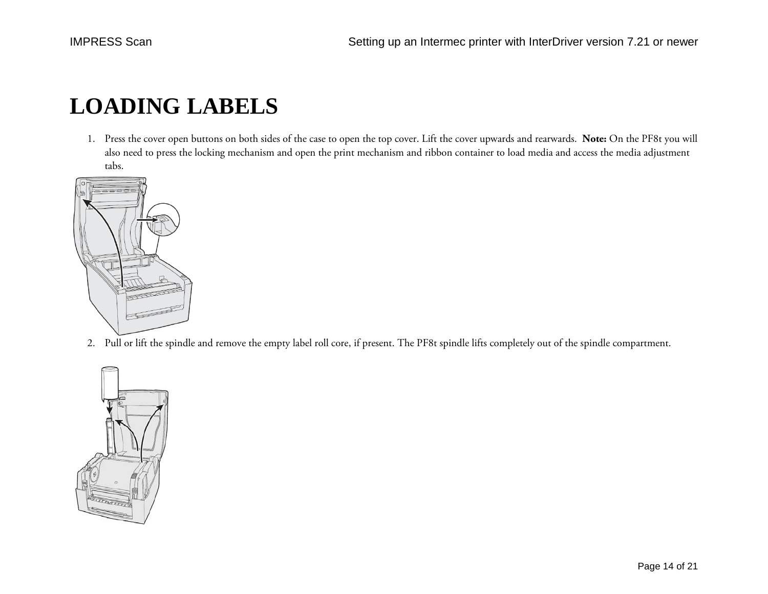# **LOADING LABELS**

1. Press the cover open buttons on both sides of the case to open the top cover. Lift the cover upwards and rearwards. **Note:** On the PF8t you will also need to press the locking mechanism and open the print mechanism and ribbon container to load media and access the media adjustment tabs.



2. Pull or lift the spindle and remove the empty label roll core, if present. The PF8t spindle lifts completely out of the spindle compartment.

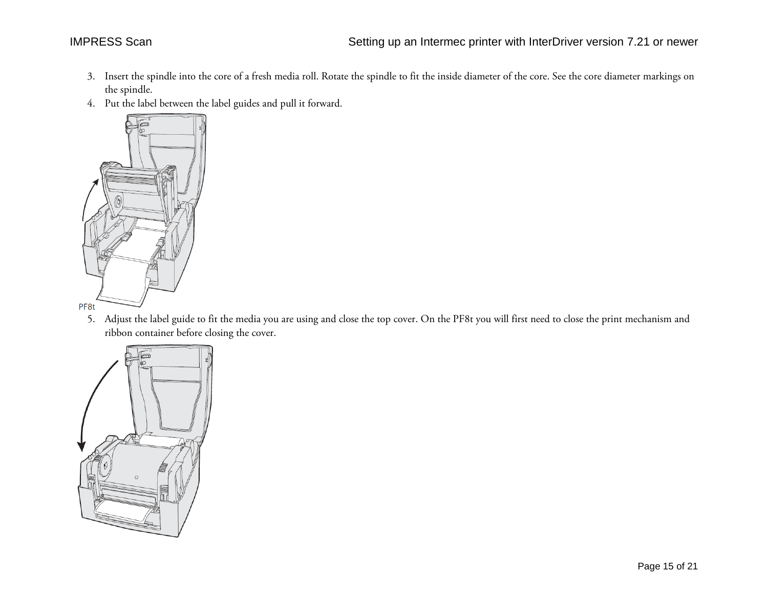- 3. Insert the spindle into the core of a fresh media roll. Rotate the spindle to fit the inside diameter of the core. See the core diameter markings on the spindle.
- 4. Put the label between the label guides and pull it forward.



5. Adjust the label guide to fit the media you are using and close the top cover. On the PF8t you will first need to close the print mechanism and ribbon container before closing the cover.

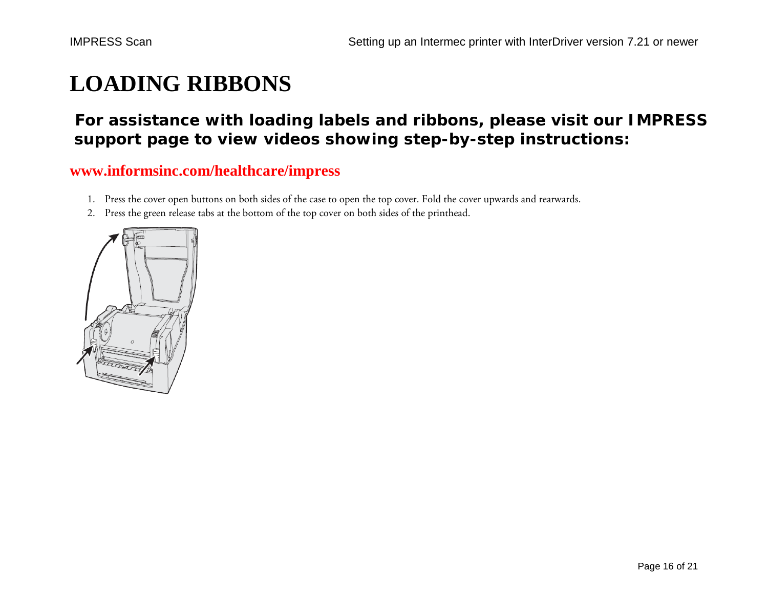# **LOADING RIBBONS**

### **For assistance with loading labels and ribbons, please visit our IMPRESS support page to view videos showing step-by-step instructions:**

#### **[www.informsinc.com/healthcare/impress](http://www.informsinc.com/healthcare/impress)**

- 1. Press the cover open buttons on both sides of the case to open the top cover. Fold the cover upwards and rearwards.
- 2. Press the green release tabs at the bottom of the top cover on both sides of the printhead.

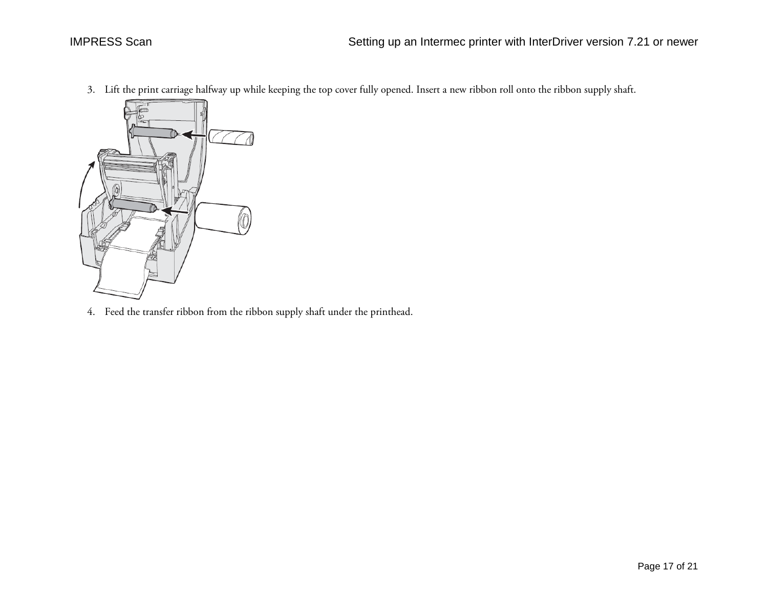3. Lift the print carriage halfway up while keeping the top cover fully opened. Insert a new ribbon roll onto the ribbon supply shaft.



4. Feed the transfer ribbon from the ribbon supply shaft under the printhead.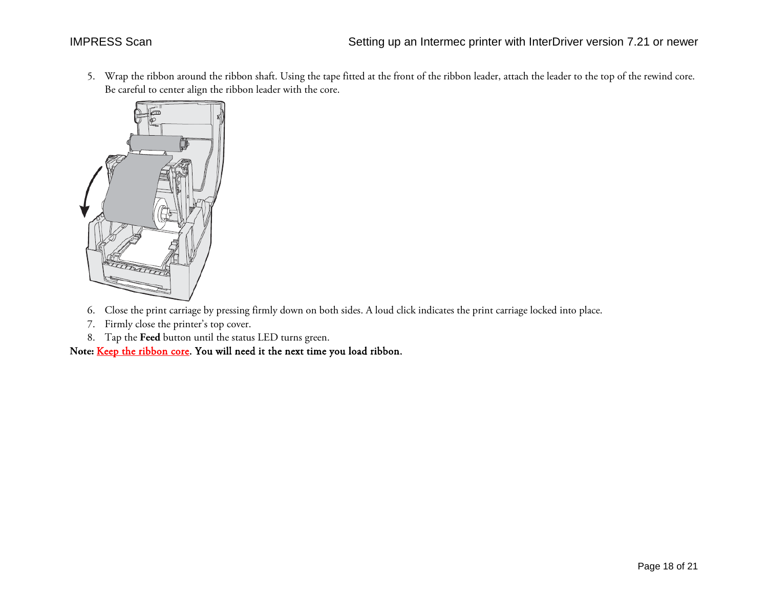5. Wrap the ribbon around the ribbon shaft. Using the tape fitted at the front of the ribbon leader, attach the leader to the top of the rewind core. Be careful to center align the ribbon leader with the core.



- 6. Close the print carriage by pressing firmly down on both sides. A loud click indicates the print carriage locked into place.
- 7. Firmly close the printer's top cover.
- 8. Tap the **Feed** button until the status LED turns green.

**Note:** Keep the ribbon core. You will need it the next time you load ribbon.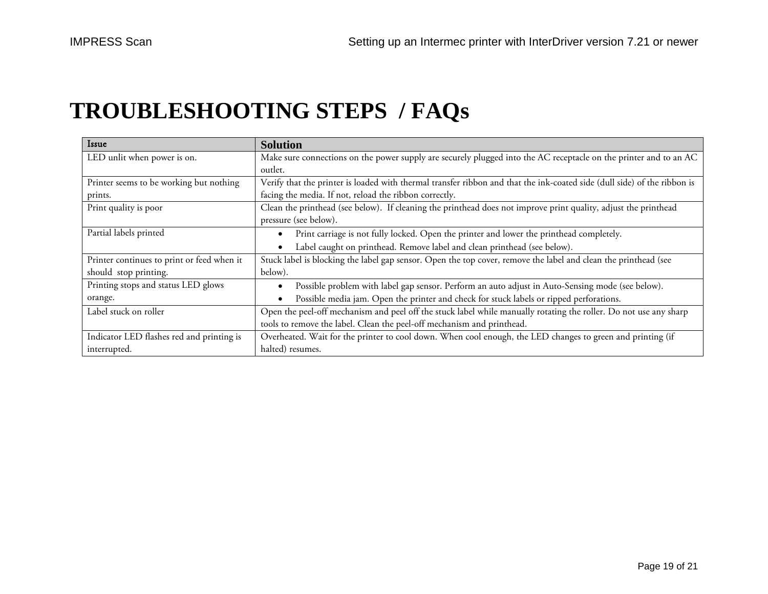# **TROUBLESHOOTING STEPS / FAQs**

| Issue                                      | <b>Solution</b>                                                                                                          |
|--------------------------------------------|--------------------------------------------------------------------------------------------------------------------------|
| LED unlit when power is on.                | Make sure connections on the power supply are securely plugged into the AC receptacle on the printer and to an AC        |
|                                            | outlet.                                                                                                                  |
| Printer seems to be working but nothing    | Verify that the printer is loaded with thermal transfer ribbon and that the ink-coated side (dull side) of the ribbon is |
| prints.                                    | facing the media. If not, reload the ribbon correctly.                                                                   |
| Print quality is poor                      | Clean the printhead (see below). If cleaning the printhead does not improve print quality, adjust the printhead          |
|                                            | pressure (see below).                                                                                                    |
| Partial labels printed                     | Print carriage is not fully locked. Open the printer and lower the printhead completely.                                 |
|                                            | Label caught on printhead. Remove label and clean printhead (see below).                                                 |
| Printer continues to print or feed when it | Stuck label is blocking the label gap sensor. Open the top cover, remove the label and clean the printhead (see          |
| should stop printing.                      | below).                                                                                                                  |
| Printing stops and status LED glows        | Possible problem with label gap sensor. Perform an auto adjust in Auto-Sensing mode (see below).                         |
| orange.                                    | Possible media jam. Open the printer and check for stuck labels or ripped perforations.                                  |
| Label stuck on roller                      | Open the peel-off mechanism and peel off the stuck label while manually rotating the roller. Do not use any sharp        |
|                                            | tools to remove the label. Clean the peel-off mechanism and printhead.                                                   |
| Indicator LED flashes red and printing is  | Overheated. Wait for the printer to cool down. When cool enough, the LED changes to green and printing (if               |
| interrupted.                               | halted) resumes.                                                                                                         |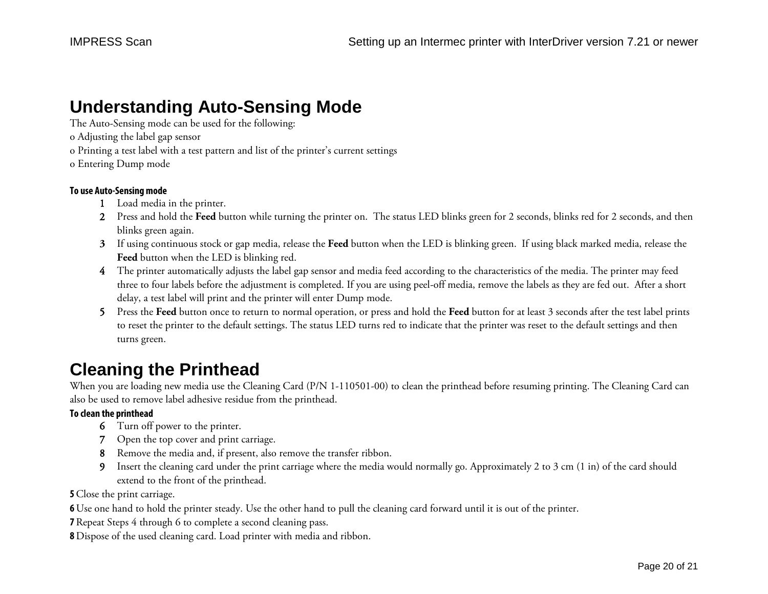### **Understanding Auto-Sensing Mode**

The Auto-Sensing mode can be used for the following:

- o Adjusting the label gap sensor
- o Printing a test label with a test pattern and list of the printer's current settings
- o Entering Dump mode

#### **To use Auto-Sensing mode**

- 1 Load media in the printer.
- 2 Press and hold the **Feed** button while turning the printer on. The status LED blinks green for 2 seconds, blinks red for 2 seconds, and then blinks green again.
- **3** If using continuous stock or gap media, release the **Feed** button when the LED is blinking green.If using black marked media, release the **Feed** button when the LED is blinking red.
- 4 The printer automatically adjusts the label gap sensor and media feed according to the characteristics of the media. The printer may feed three to four labels before the adjustment is completed. If you are using peel-off media, remove the labels as they are fed out. After a short delay, a test label will print and the printer will enter Dump mode.
- 5 Press the **Feed** button once to return to normal operation, or press and hold the **Feed** button for at least 3 seconds after the test label prints to reset the printer to the default settings. The status LED turns red to indicate that the printer was reset to the default settings and then turns green.

# **Cleaning the Printhead**

When you are loading new media use the Cleaning Card (P/N 1-110501-00) to clean the printhead before resuming printing. The Cleaning Card can also be used to remove label adhesive residue from the printhead.

#### **To clean the printhead**

- 6 Turn off power to the printer.
- 7 Open the top cover and print carriage.
- 8 Remove the media and, if present, also remove the transfer ribbon.
- 9 Insert the cleaning card under the print carriage where the media would normally go. Approximately 2 to 3 cm (1 in) of the card should extend to the front of the printhead.

**5** Close the print carriage.

**6** Use one hand to hold the printer steady. Use the other hand to pull the cleaning card forward until it is out of the printer.

**7** Repeat Steps 4 through 6 to complete a second cleaning pass.

**8** Dispose of the used cleaning card. Load printer with media and ribbon.